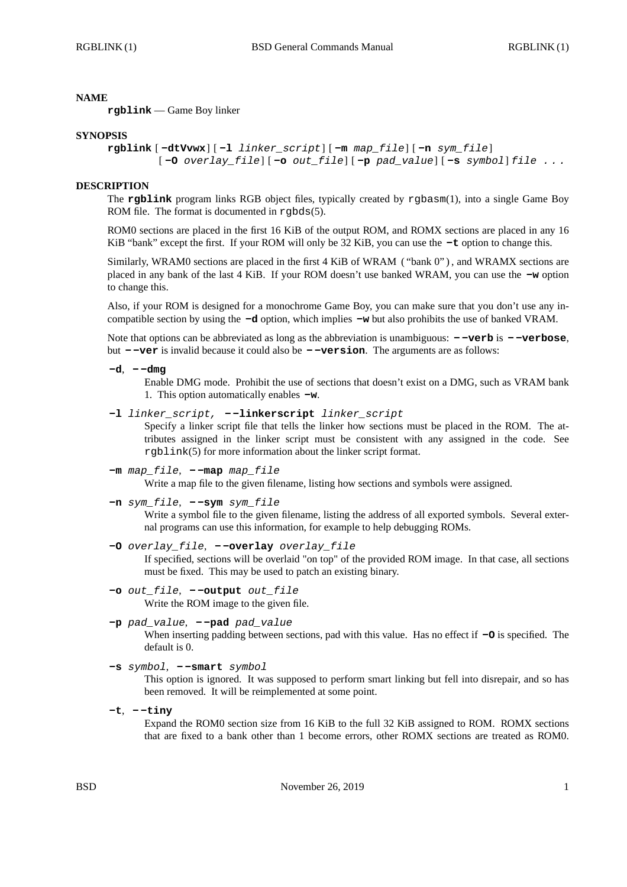### **NAME**

**rgblink** — Game Boy linker

#### **SYNOPSIS**

```
rgblink [ -dtVvwx] [ -l linker_script] [ -m map_file] [ -n sym_file]
[ -O overlay_file] [ -o out_file] [ -p pad_value] [ -s symbol] file . . .
```
### **DESCRIPTION**

The **rgblink** program links RGB object files, typically created by rgbasm(1), into a single Game Boy ROM file. The format is documented in rgbds(5).

ROM0 sections are placed in the first 16 KiB of the output ROM, and ROMX sections are placed in any 16 KiB "bank" except the first. If your ROM will only be 32 KiB, you can use the **-t** option to change this.

Similarly, WRAM0 sections are placed in the first 4 KiB of WRAM ("bank 0"), and WRAMX sections are placed in any bank of the last 4 KiB. If your ROM doesn't use banked WRAM, you can use the **-w** option to change this.

Also, if your ROM is designed for a monochrome Game Boy, you can make sure that you don't use any incompatible section by using the **-d** option, which implies **-w** but also prohibits the use of banked VRAM.

Note that options can be abbreviated as long as the abbreviation is unambiguous: **- -verb** is **- -verbose**, but **- -ver** is invalid because it could also be **- -version**. The arguments are as follows:

**-d**, **- -dmg**

Enable DMG mode. Prohibit the use of sections that doesn't exist on a DMG, such as VRAM bank 1. This option automatically enables **-w**.

**-l** *linker\_script,* **- -linkerscript** *linker\_script*

Specify a linker script file that tells the linker how sections must be placed in the ROM. The attributes assigned in the linker script must be consistent with any assigned in the code. See rgblink(5) for more information about the linker script format.

**-m** *map\_file*, **- -map** *map\_file*

Write a map file to the given filename, listing how sections and symbols were assigned.

**-n** *sym\_file*, **- -sym** *sym\_file*

Write a symbol file to the given filename, listing the address of all exported symbols. Several external programs can use this information, for example to help debugging ROMs.

# **-O** *overlay\_file*, **- -overlay** *overlay\_file*

If specified, sections will be overlaid "on top" of the provided ROM image. In that case, all sections must be fixed. This may be used to patch an existing binary.

**-o** *out\_file*, **- -output** *out\_file* Write the ROM image to the given file.

# **-p** *pad\_value*, **- -pad** *pad\_value*

When inserting padding between sections, pad with this value. Has no effect if **-O** is specified. The default is 0.

```
-s symbol, - -smart symbol
```
This option is ignored. It was supposed to perform smart linking but fell into disrepair, and so has been removed. It will be reimplemented at some point.

**-t**, **- -tiny**

Expand the ROM0 section size from 16 KiB to the full 32 KiB assigned to ROM. ROMX sections that are fixed to a bank other than 1 become errors, other ROMX sections are treated as ROM0.